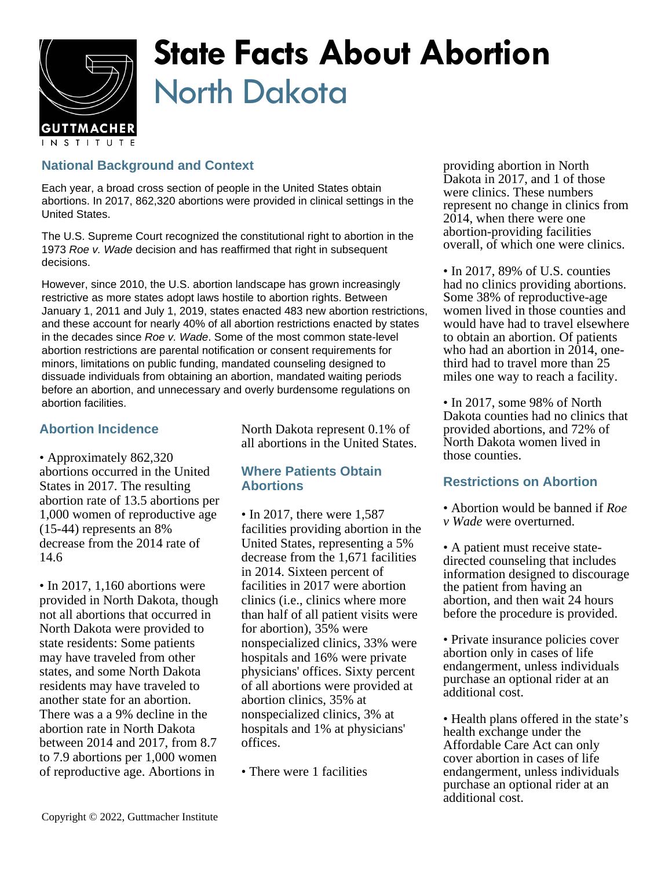

# **State Facts About Abortion** North Dakota

### **National Background and Context**

Each year, a broad cross section of people in the United States obtain abortions. In 2017, 862,320 abortions were provided in clinical settings in the United States.

The U.S. Supreme Court recognized the constitutional right to abortion in the 1973 Roe v. Wade decision and has reaffirmed that right in subsequent decisions.

However, since 2010, the U.S. abortion landscape has grown increasingly restrictive as more states adopt laws hostile to abortion rights. Between January 1, 2011 and July 1, 2019, states enacted 483 new abortion restrictions, and these account for nearly 40% of all abortion restrictions enacted by states in the decades since Roe v. Wade. Some of the most common state-level abortion restrictions are parental notification or consent requirements for minors, limitations on public funding, mandated counseling designed to dissuade individuals from obtaining an abortion, mandated waiting periods before an abortion, and unnecessary and overly burdensome regulations on abortion facilities.

#### **Abortion Incidence**

• Approximately 862,320 abortions occurred in the United States in 2017. The resulting abortion rate of 13.5 abortions per 1,000 women of reproductive age (15-44) represents an 8% decrease from the 2014 rate of 14.6

• In 2017, 1,160 abortions were provided in North Dakota, though not all abortions that occurred in North Dakota were provided to state residents: Some patients may have traveled from other states, and some North Dakota residents may have traveled to another state for an abortion. There was a a 9% decline in the abortion rate in North Dakota between 2014 and 2017, from 8.7 to 7.9 abortions per 1,000 women of reproductive age. Abortions in

North Dakota represent 0.1% of all abortions in the United States.

#### **Where Patients Obtain Abortions**

- In 2017, there were 1,587 facilities providing abortion in the United States, representing a 5% decrease from the 1,671 facilities in 2014. Sixteen percent of facilities in 2017 were abortion clinics (i.e., clinics where more than half of all patient visits were for abortion), 35% were nonspecialized clinics, 33% were hospitals and 16% were private physicians' offices. Sixty percent of all abortions were provided at abortion clinics, 35% at nonspecialized clinics, 3% at hospitals and 1% at physicians' offices.
- There were 1 facilities

providing abortion in North Dakota in 2017, and 1 of those were clinics. These numbers represent no change in clinics from 2014, when there were one abortion-providing facilities overall, of which one were clinics.

• In 2017, 89% of U.S. counties had no clinics providing abortions. Some 38% of reproductive-age women lived in those counties and would have had to travel elsewhere to obtain an abortion. Of patients who had an abortion in 2014, onethird had to travel more than 25 miles one way to reach a facility.

• In 2017, some 98% of North Dakota counties had no clinics that provided abortions, and 72% of North Dakota women lived in those counties.

## **Restrictions on Abortion**

- Abortion would be banned if *Roe*
- *v Wade* were overturned.

• A patient must receive statedirected counseling that includes information designed to discourage the patient from having an abortion, and then wait 24 hours before the procedure is provided.

- Private insurance policies cover abortion only in cases of life endangerment, unless individuals purchase an optional rider at an additional cost.
- Health plans offered in the state's health exchange under the Affordable Care Act can only cover abortion in cases of life endangerment, unless individuals purchase an optional rider at an additional cost.